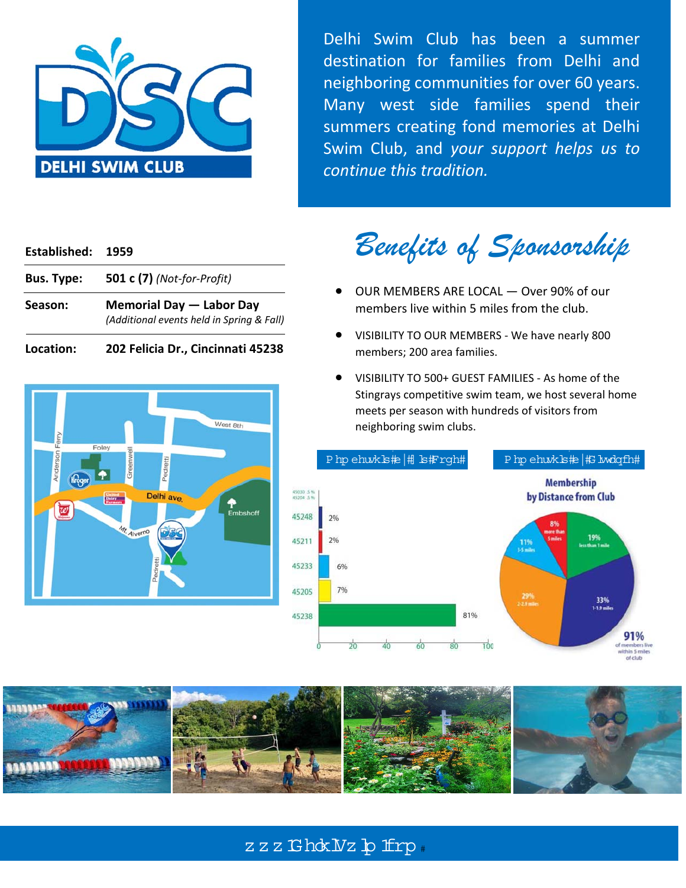

Delhi Swim Club has been a summer destination for families from Delhi and neighboring communities for over 60 years. Many west side families spend their summers creating fond memories at Delhi Swim Club, and *your support helps us to continue this tradition.*

#### **Established: 1959**

| <b>Bus. Type:</b> | <b>501 c (7)</b> (Not-for-Profit)                                     |
|-------------------|-----------------------------------------------------------------------|
| Season:           | Memorial Day - Labor Day<br>(Additional events held in Spring & Fall) |

**Location: 202 Felicia Dr., Cincinnati 45238** 



*Benefits of Sponsorship* 

- OUR MEMBERS ARE LOCAL Over 90% of our members live within 5 miles from the club.
- VISIBILITY TO OUR MEMBERS ‐ We have nearly 800 members; 200 area families.
- VISIBILITY TO 500+ GUEST FAMILIES ‐ As home of the Stingrays competitive swim team, we host several home meets per season with hundreds of visitors from neighboring swim clubs.





# zzz Ghok Vz p frp.